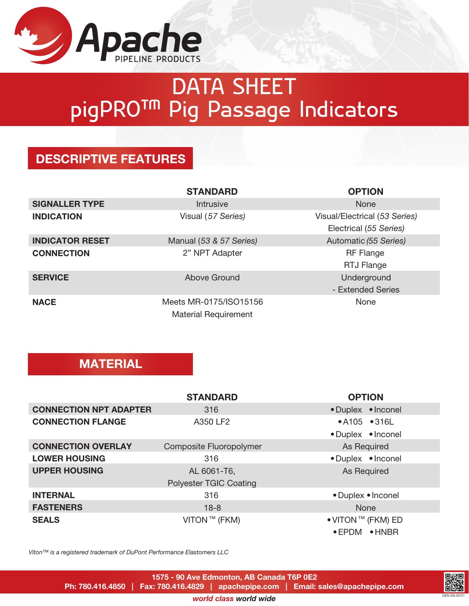

# DATA SHEET pigPRO™ Pig Passage Indicators

### DESCRIPTIVE FEATURES

|                        | <b>STANDARD</b>             | <b>OPTION</b>                 |
|------------------------|-----------------------------|-------------------------------|
| <b>SIGNALLER TYPE</b>  | <b>Intrusive</b>            | <b>None</b>                   |
| <b>INDICATION</b>      | Visual (57 Series)          | Visual/Electrical (53 Series) |
|                        |                             | Electrical (55 Series)        |
| <b>INDICATOR RESET</b> | Manual (53 & 57 Series)     | Automatic (55 Series)         |
| <b>CONNECTION</b>      | 2" NPT Adapter              | <b>RF</b> Flange              |
|                        |                             | RTJ Flange                    |
| <b>SERVICE</b>         | Above Ground                | Underground                   |
|                        |                             | - Extended Series             |
| <b>NACE</b>            | Meets MR-0175/ISO15156      | None                          |
|                        | <b>Material Requirement</b> |                               |

#### **MATERIAL**

|                               | <b>STANDARD</b>               | <b>OPTION</b>      |
|-------------------------------|-------------------------------|--------------------|
| <b>CONNECTION NPT ADAPTER</b> | 316                           | • Duplex • Inconel |
| <b>CONNECTION FLANGE</b>      | A350 LF2                      | •A105 •316L        |
|                               |                               | • Duplex • Inconel |
| <b>CONNECTION OVERLAY</b>     | Composite Fluoropolymer       | As Required        |
| <b>LOWER HOUSING</b>          | 316                           | • Duplex • Inconel |
| <b>UPPER HOUSING</b>          | AL 6061-T6,                   | As Required        |
|                               | <b>Polyester TGIC Coating</b> |                    |
| <b>INTERNAL</b>               | 316                           | • Duplex • Inconel |
| <b>FASTENERS</b>              | $18 - 8$                      | <b>None</b>        |
| <b>SEALS</b>                  | VITON™ (FKM)                  | ● VITON ™ (FKM) ED |
|                               |                               | • EPDM • HNBR      |

*Viton™ is a registered trademark of DuPont Performance Elastomers LLC*



GEN-DS-02/21